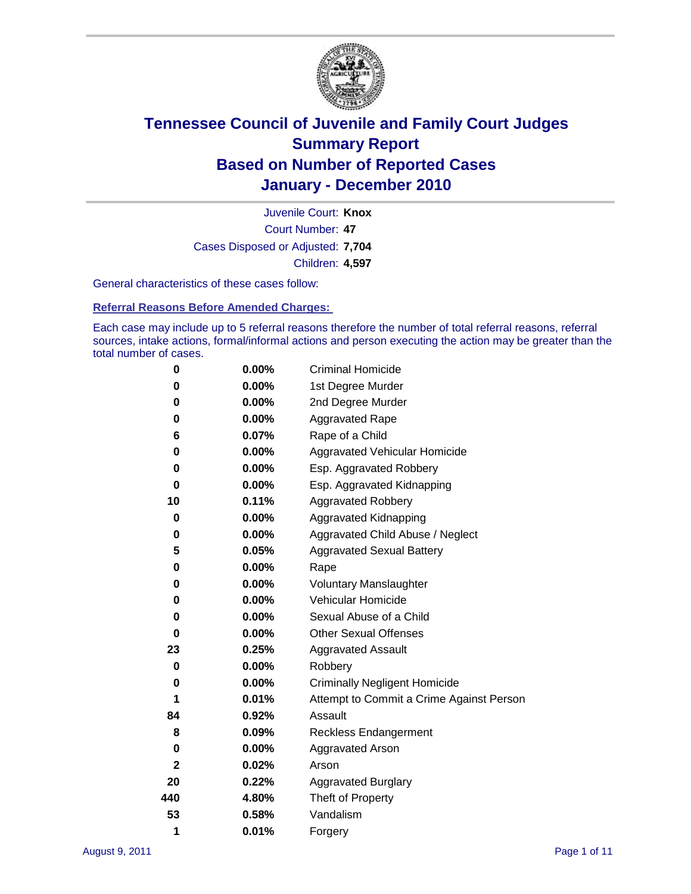

Court Number: **47** Juvenile Court: **Knox** Cases Disposed or Adjusted: **7,704** Children: **4,597**

General characteristics of these cases follow:

**Referral Reasons Before Amended Charges:** 

Each case may include up to 5 referral reasons therefore the number of total referral reasons, referral sources, intake actions, formal/informal actions and person executing the action may be greater than the total number of cases.

| 0            | $0.00\%$ | <b>Criminal Homicide</b>                 |
|--------------|----------|------------------------------------------|
| 0            | 0.00%    | 1st Degree Murder                        |
| 0            | $0.00\%$ | 2nd Degree Murder                        |
| 0            | $0.00\%$ | <b>Aggravated Rape</b>                   |
| 6            | 0.07%    | Rape of a Child                          |
| 0            | 0.00%    | Aggravated Vehicular Homicide            |
| 0            | $0.00\%$ | Esp. Aggravated Robbery                  |
| 0            | 0.00%    | Esp. Aggravated Kidnapping               |
| 10           | 0.11%    | <b>Aggravated Robbery</b>                |
| 0            | 0.00%    | Aggravated Kidnapping                    |
| 0            | 0.00%    | Aggravated Child Abuse / Neglect         |
| 5            | 0.05%    | <b>Aggravated Sexual Battery</b>         |
| 0            | 0.00%    | Rape                                     |
| 0            | $0.00\%$ | <b>Voluntary Manslaughter</b>            |
| 0            | 0.00%    | Vehicular Homicide                       |
| 0            | 0.00%    | Sexual Abuse of a Child                  |
| $\bf{0}$     | 0.00%    | <b>Other Sexual Offenses</b>             |
| 23           | 0.25%    | <b>Aggravated Assault</b>                |
| 0            | 0.00%    | Robbery                                  |
| 0            | $0.00\%$ | <b>Criminally Negligent Homicide</b>     |
| 1            | 0.01%    | Attempt to Commit a Crime Against Person |
| 84           | 0.92%    | Assault                                  |
| 8            | 0.09%    | <b>Reckless Endangerment</b>             |
| 0            | $0.00\%$ | <b>Aggravated Arson</b>                  |
| $\mathbf{2}$ | 0.02%    | Arson                                    |
| 20           | 0.22%    | <b>Aggravated Burglary</b>               |
| 440          | 4.80%    | Theft of Property                        |
| 53           | 0.58%    | Vandalism                                |
| 1            | 0.01%    | Forgery                                  |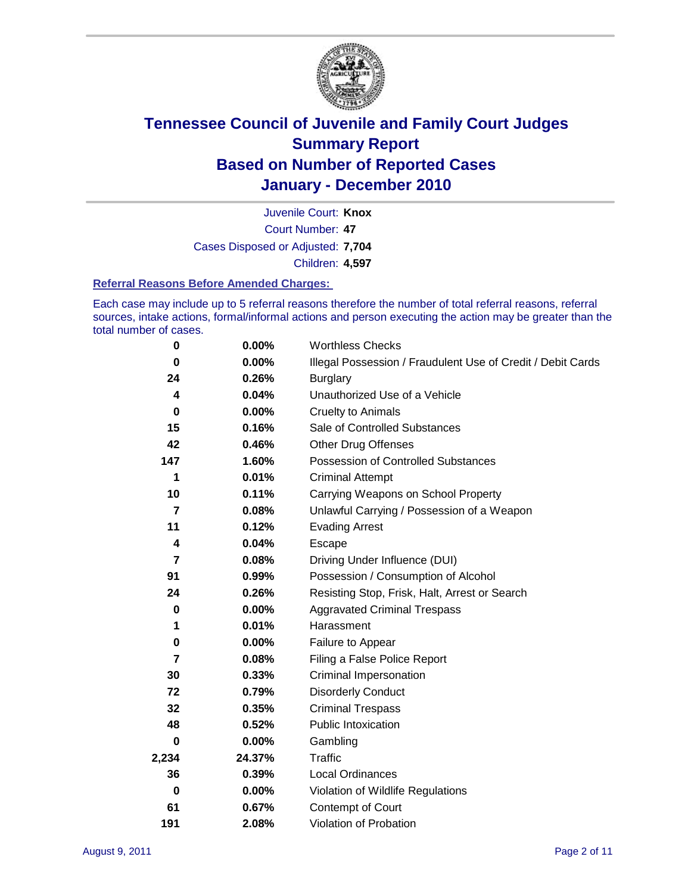

Court Number: **47** Juvenile Court: **Knox** Cases Disposed or Adjusted: **7,704** Children: **4,597**

#### **Referral Reasons Before Amended Charges:**

Each case may include up to 5 referral reasons therefore the number of total referral reasons, referral sources, intake actions, formal/informal actions and person executing the action may be greater than the total number of cases.

| 0        | 0.00%    | <b>Worthless Checks</b>                                     |
|----------|----------|-------------------------------------------------------------|
| 0        | 0.00%    | Illegal Possession / Fraudulent Use of Credit / Debit Cards |
| 24       | 0.26%    | <b>Burglary</b>                                             |
| 4        | 0.04%    | Unauthorized Use of a Vehicle                               |
| 0        | $0.00\%$ | <b>Cruelty to Animals</b>                                   |
| 15       | 0.16%    | Sale of Controlled Substances                               |
| 42       | 0.46%    | <b>Other Drug Offenses</b>                                  |
| 147      | 1.60%    | Possession of Controlled Substances                         |
| 1        | 0.01%    | <b>Criminal Attempt</b>                                     |
| 10       | 0.11%    | Carrying Weapons on School Property                         |
| 7        | 0.08%    | Unlawful Carrying / Possession of a Weapon                  |
| 11       | 0.12%    | <b>Evading Arrest</b>                                       |
| 4        | 0.04%    | Escape                                                      |
| 7        | 0.08%    | Driving Under Influence (DUI)                               |
| 91       | 0.99%    | Possession / Consumption of Alcohol                         |
| 24       | 0.26%    | Resisting Stop, Frisk, Halt, Arrest or Search               |
| 0        | $0.00\%$ | <b>Aggravated Criminal Trespass</b>                         |
| 1        | 0.01%    | Harassment                                                  |
| 0        | 0.00%    | Failure to Appear                                           |
| 7        | 0.08%    | Filing a False Police Report                                |
| 30       | 0.33%    | <b>Criminal Impersonation</b>                               |
| 72       | 0.79%    | <b>Disorderly Conduct</b>                                   |
| 32       | 0.35%    | <b>Criminal Trespass</b>                                    |
| 48       | 0.52%    | <b>Public Intoxication</b>                                  |
| 0        | 0.00%    | Gambling                                                    |
| 2,234    | 24.37%   | <b>Traffic</b>                                              |
| 36       | 0.39%    | Local Ordinances                                            |
| $\bf{0}$ | 0.00%    | Violation of Wildlife Regulations                           |
| 61       | 0.67%    | Contempt of Court                                           |
| 191      | 2.08%    | Violation of Probation                                      |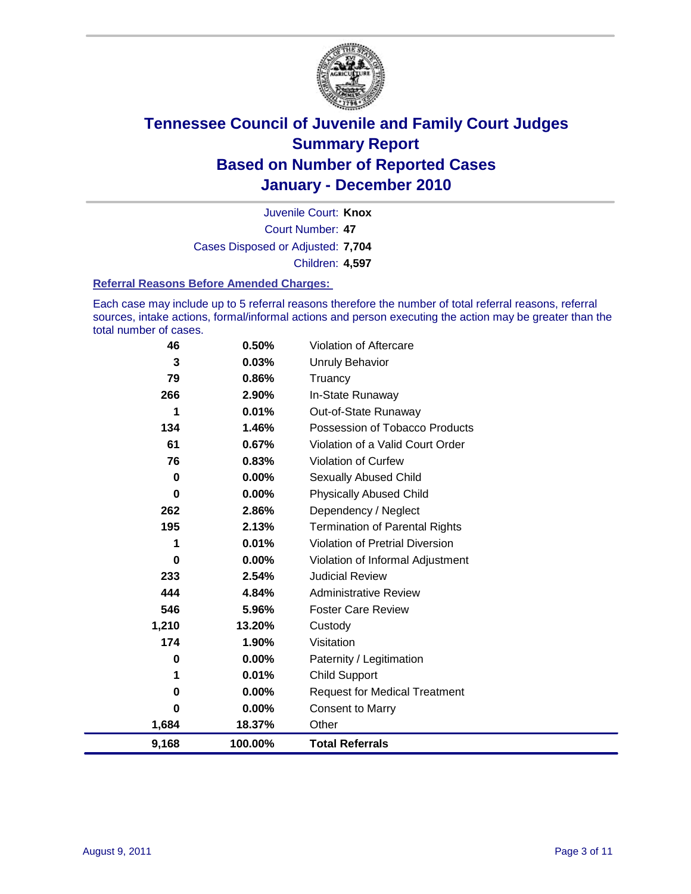

Court Number: **47** Juvenile Court: **Knox** Cases Disposed or Adjusted: **7,704** Children: **4,597**

#### **Referral Reasons Before Amended Charges:**

Each case may include up to 5 referral reasons therefore the number of total referral reasons, referral sources, intake actions, formal/informal actions and person executing the action may be greater than the total number of cases.

| 46          | 0.50%    | Violation of Aftercare                 |
|-------------|----------|----------------------------------------|
| 3           | 0.03%    | Unruly Behavior                        |
| 79          | 0.86%    | Truancy                                |
| 266         | 2.90%    | In-State Runaway                       |
| 1           | 0.01%    | Out-of-State Runaway                   |
| 134         | 1.46%    | Possession of Tobacco Products         |
| 61          | 0.67%    | Violation of a Valid Court Order       |
| 76          | 0.83%    | Violation of Curfew                    |
| $\mathbf 0$ | 0.00%    | Sexually Abused Child                  |
| $\bf{0}$    | 0.00%    | <b>Physically Abused Child</b>         |
| 262         | 2.86%    | Dependency / Neglect                   |
| 195         | 2.13%    | <b>Termination of Parental Rights</b>  |
| 1           | 0.01%    | <b>Violation of Pretrial Diversion</b> |
| 0           | $0.00\%$ | Violation of Informal Adjustment       |
| 233         | 2.54%    | <b>Judicial Review</b>                 |
| 444         | 4.84%    | <b>Administrative Review</b>           |
| 546         | 5.96%    | <b>Foster Care Review</b>              |
| 1,210       | 13.20%   | Custody                                |
| 174         | 1.90%    | Visitation                             |
| 0           | 0.00%    | Paternity / Legitimation               |
| 1           | 0.01%    | Child Support                          |
| 0           | 0.00%    | <b>Request for Medical Treatment</b>   |
| 0           | 0.00%    | <b>Consent to Marry</b>                |
| 1,684       | 18.37%   | Other                                  |
| 9,168       | 100.00%  | <b>Total Referrals</b>                 |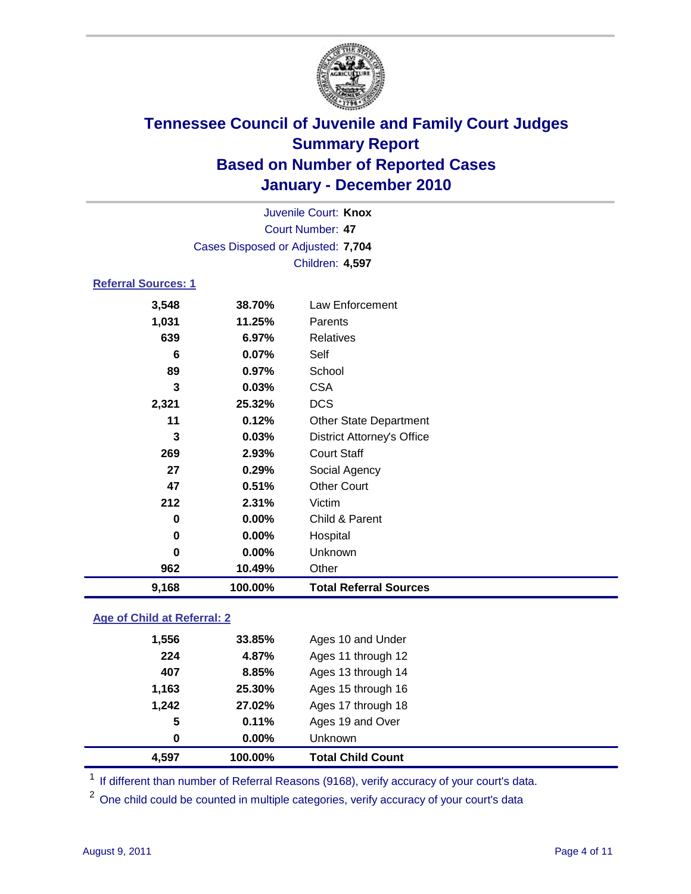

|                            | Juvenile Court: Knox              |                                   |  |
|----------------------------|-----------------------------------|-----------------------------------|--|
|                            |                                   | <b>Court Number: 47</b>           |  |
|                            | Cases Disposed or Adjusted: 7,704 |                                   |  |
|                            |                                   | Children: 4,597                   |  |
| <b>Referral Sources: 1</b> |                                   |                                   |  |
| 3,548                      | 38.70%                            | <b>Law Enforcement</b>            |  |
| 1,031                      | 11.25%                            | Parents                           |  |
| 639                        | 6.97%                             | <b>Relatives</b>                  |  |
| 6                          | 0.07%                             | Self                              |  |
| 89                         | 0.97%                             | School                            |  |
| 3                          | 0.03%                             | <b>CSA</b>                        |  |
| 2,321                      | 25.32%                            | <b>DCS</b>                        |  |
| 11                         | 0.12%                             | <b>Other State Department</b>     |  |
| 3                          | 0.03%                             | <b>District Attorney's Office</b> |  |
| 269                        | 2.93%                             | <b>Court Staff</b>                |  |
| 27                         | 0.29%                             | Social Agency                     |  |
| 47                         | 0.51%                             | <b>Other Court</b>                |  |
| 212                        | 2.31%                             | Victim                            |  |
| $\bf{0}$                   | $0.00\%$                          | Child & Parent                    |  |
| 0                          | $0.00\%$                          | Hospital                          |  |
| $\bf{0}$                   | $0.00\%$                          | Unknown                           |  |
| 962                        | 10.49%                            | Other                             |  |
| 9,168                      | 100.00%                           | <b>Total Referral Sources</b>     |  |
|                            |                                   |                                   |  |

### **Age of Child at Referral: 2**

| 4,597 | 100.00%  | <b>Total Child Count</b> |
|-------|----------|--------------------------|
| 0     | $0.00\%$ | <b>Unknown</b>           |
| 5     | 0.11%    | Ages 19 and Over         |
| 1,242 | 27.02%   | Ages 17 through 18       |
| 1,163 | 25.30%   | Ages 15 through 16       |
| 407   | 8.85%    | Ages 13 through 14       |
| 224   | 4.87%    | Ages 11 through 12       |
| 1,556 | 33.85%   | Ages 10 and Under        |
|       |          |                          |

<sup>1</sup> If different than number of Referral Reasons (9168), verify accuracy of your court's data.

<sup>2</sup> One child could be counted in multiple categories, verify accuracy of your court's data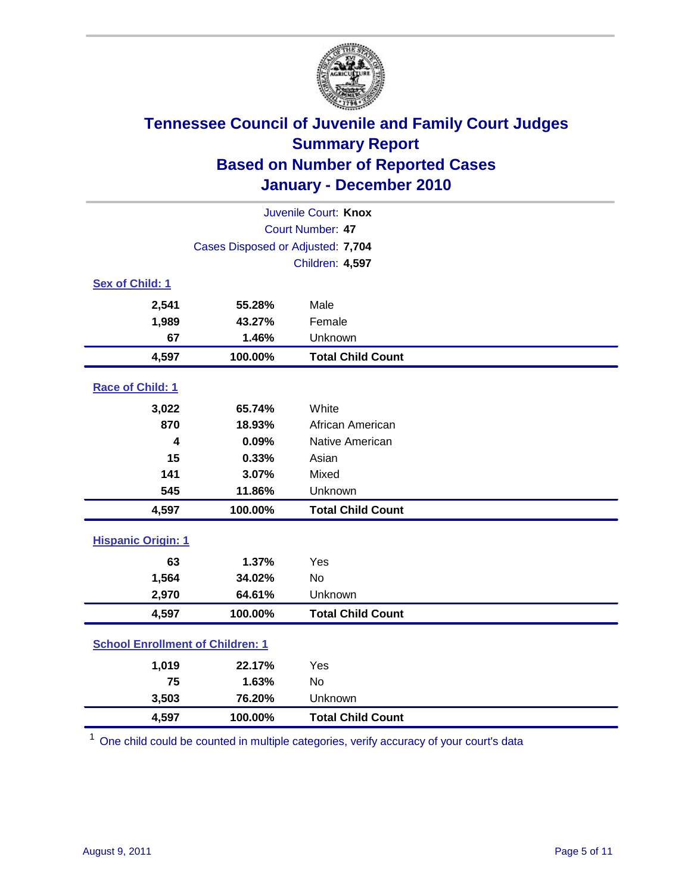

| Juvenile Court: Knox                    |                                   |                          |  |  |
|-----------------------------------------|-----------------------------------|--------------------------|--|--|
| Court Number: 47                        |                                   |                          |  |  |
|                                         | Cases Disposed or Adjusted: 7,704 |                          |  |  |
|                                         |                                   | Children: 4,597          |  |  |
| Sex of Child: 1                         |                                   |                          |  |  |
| 2,541                                   | 55.28%                            | Male                     |  |  |
| 1,989                                   | 43.27%                            | Female                   |  |  |
| 67                                      | 1.46%                             | Unknown                  |  |  |
| 4,597                                   | 100.00%                           | <b>Total Child Count</b> |  |  |
| Race of Child: 1                        |                                   |                          |  |  |
| 3,022                                   | 65.74%                            | White                    |  |  |
| 870                                     | 18.93%                            | African American         |  |  |
| 4                                       | 0.09%                             | Native American          |  |  |
| 15                                      | 0.33%                             | Asian                    |  |  |
| 141                                     | 3.07%                             | Mixed                    |  |  |
| 545                                     | 11.86%                            | Unknown                  |  |  |
| 4,597                                   | 100.00%                           | <b>Total Child Count</b> |  |  |
| <b>Hispanic Origin: 1</b>               |                                   |                          |  |  |
| 63                                      | 1.37%                             | Yes                      |  |  |
| 1,564                                   | 34.02%                            | <b>No</b>                |  |  |
| 2,970                                   | 64.61%                            | Unknown                  |  |  |
| 4,597                                   | 100.00%                           | <b>Total Child Count</b> |  |  |
| <b>School Enrollment of Children: 1</b> |                                   |                          |  |  |
| 1,019                                   | 22.17%                            | Yes                      |  |  |
| 75                                      | 1.63%                             | No                       |  |  |
| 3,503                                   | 76.20%                            | Unknown                  |  |  |
| 4,597                                   | 100.00%                           | <b>Total Child Count</b> |  |  |

<sup>1</sup> One child could be counted in multiple categories, verify accuracy of your court's data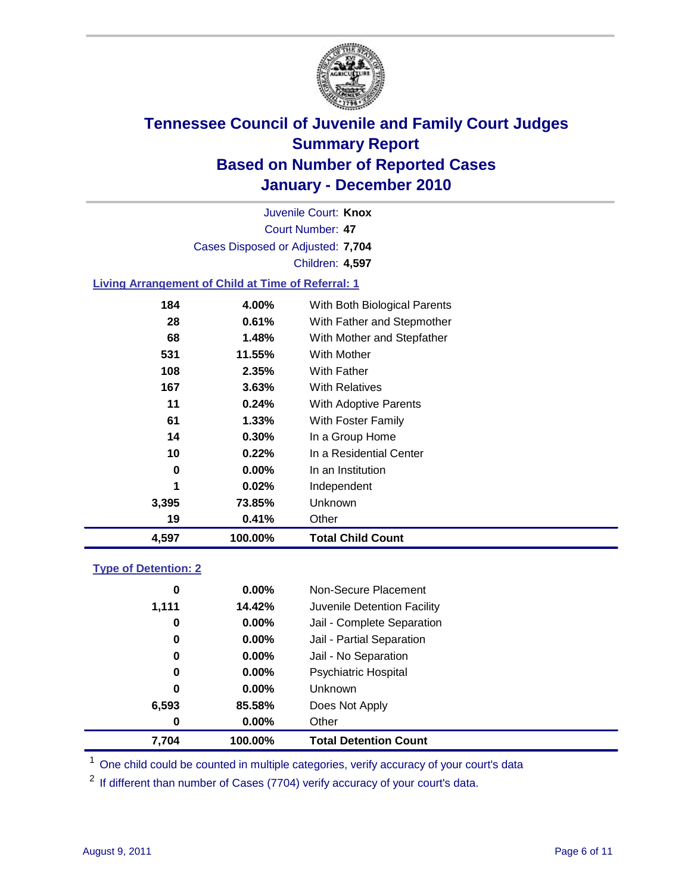

Court Number: **47** Juvenile Court: **Knox** Cases Disposed or Adjusted: **7,704** Children: **4,597**

### **Living Arrangement of Child at Time of Referral: 1**

| 4,597 | 100.00% | <b>Total Child Count</b>     |
|-------|---------|------------------------------|
| 19    | 0.41%   | Other                        |
| 3,395 | 73.85%  | Unknown                      |
| 1     | 0.02%   | Independent                  |
| 0     | 0.00%   | In an Institution            |
| 10    | 0.22%   | In a Residential Center      |
| 14    | 0.30%   | In a Group Home              |
| 61    | 1.33%   | With Foster Family           |
| 11    | 0.24%   | With Adoptive Parents        |
| 167   | 3.63%   | <b>With Relatives</b>        |
| 108   | 2.35%   | With Father                  |
| 531   | 11.55%  | With Mother                  |
| 68    | 1.48%   | With Mother and Stepfather   |
| 28    | 0.61%   | With Father and Stepmother   |
| 184   | 4.00%   | With Both Biological Parents |
|       |         |                              |

#### **Type of Detention: 2**

| 7,704 | 100.00%  | <b>Total Detention Count</b> |
|-------|----------|------------------------------|
| 0     | $0.00\%$ | Other                        |
| 6,593 | 85.58%   | Does Not Apply               |
| 0     | $0.00\%$ | Unknown                      |
| 0     | $0.00\%$ | <b>Psychiatric Hospital</b>  |
| 0     | 0.00%    | Jail - No Separation         |
| 0     | $0.00\%$ | Jail - Partial Separation    |
| 0     | 0.00%    | Jail - Complete Separation   |
| 1,111 | 14.42%   | Juvenile Detention Facility  |
| 0     | $0.00\%$ | Non-Secure Placement         |
|       |          |                              |

<sup>1</sup> One child could be counted in multiple categories, verify accuracy of your court's data

<sup>2</sup> If different than number of Cases (7704) verify accuracy of your court's data.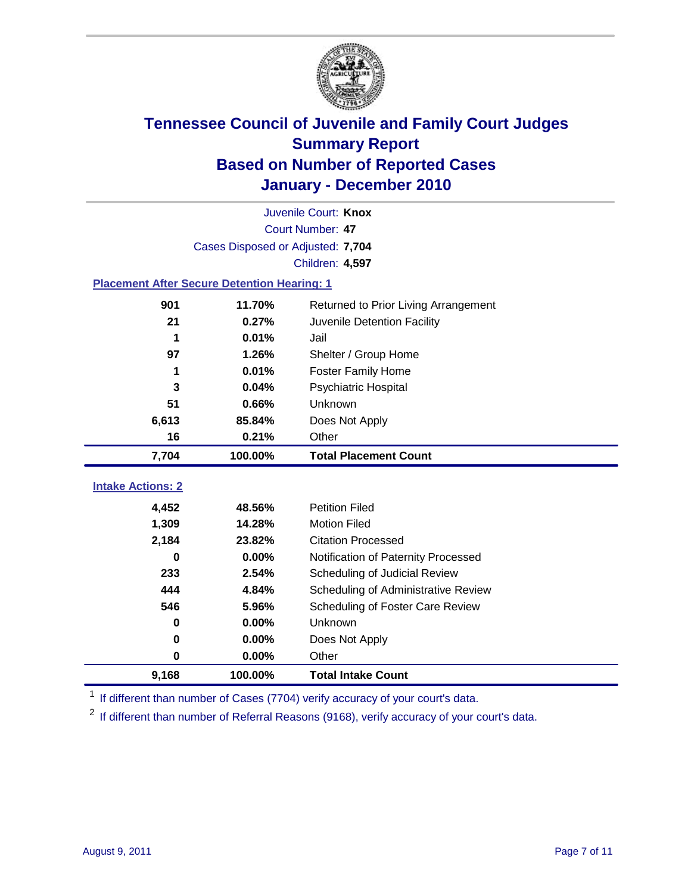

|                                                    | Juvenile Court: Knox              |                                      |  |  |  |
|----------------------------------------------------|-----------------------------------|--------------------------------------|--|--|--|
|                                                    | Court Number: 47                  |                                      |  |  |  |
|                                                    | Cases Disposed or Adjusted: 7,704 |                                      |  |  |  |
|                                                    |                                   | Children: 4,597                      |  |  |  |
| <b>Placement After Secure Detention Hearing: 1</b> |                                   |                                      |  |  |  |
| 901                                                | 11.70%                            | Returned to Prior Living Arrangement |  |  |  |
| 21                                                 | 0.27%                             | Juvenile Detention Facility          |  |  |  |
| 1                                                  | 0.01%                             | Jail                                 |  |  |  |
| 97                                                 | 1.26%                             | Shelter / Group Home                 |  |  |  |
| 1                                                  | 0.01%                             | <b>Foster Family Home</b>            |  |  |  |
| 3                                                  | 0.04%                             | <b>Psychiatric Hospital</b>          |  |  |  |
| 51                                                 | 0.66%                             | Unknown                              |  |  |  |
| 6,613                                              | 85.84%                            | Does Not Apply                       |  |  |  |
| 16                                                 | 0.21%                             | Other                                |  |  |  |
| 7,704                                              | 100.00%                           | <b>Total Placement Count</b>         |  |  |  |
| <b>Intake Actions: 2</b>                           |                                   |                                      |  |  |  |
|                                                    |                                   |                                      |  |  |  |
| 4,452                                              | 48.56%                            | <b>Petition Filed</b>                |  |  |  |
| 1,309                                              | 14.28%                            | <b>Motion Filed</b>                  |  |  |  |
| 2,184                                              | 23.82%                            | <b>Citation Processed</b>            |  |  |  |
| 0                                                  | 0.00%                             | Notification of Paternity Processed  |  |  |  |
| 233                                                | 2.54%                             | Scheduling of Judicial Review        |  |  |  |
| 444                                                | 4.84%                             | Scheduling of Administrative Review  |  |  |  |
| 546                                                | 5.96%                             | Scheduling of Foster Care Review     |  |  |  |
| 0                                                  | 0.00%                             | Unknown                              |  |  |  |
| 0                                                  | 0.00%                             | Does Not Apply                       |  |  |  |
| 0                                                  | 0.00%                             | Other                                |  |  |  |
| 9,168                                              | 100.00%                           | <b>Total Intake Count</b>            |  |  |  |

<sup>1</sup> If different than number of Cases (7704) verify accuracy of your court's data.

<sup>2</sup> If different than number of Referral Reasons (9168), verify accuracy of your court's data.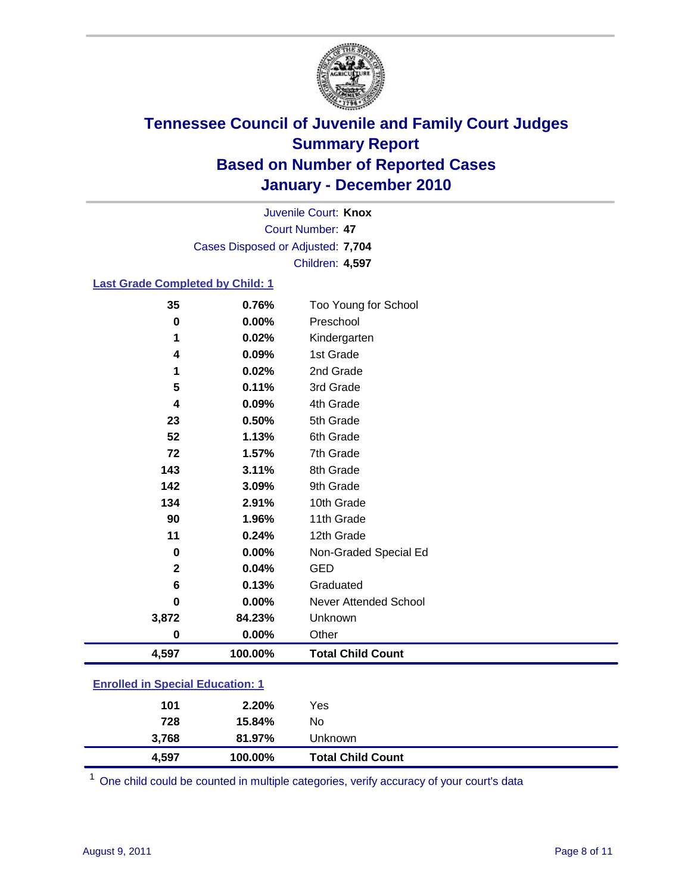

Court Number: **47** Juvenile Court: **Knox** Cases Disposed or Adjusted: **7,704** Children: **4,597**

### **Last Grade Completed by Child: 1**

| 35                                      | 0.76%    | Too Young for School         |
|-----------------------------------------|----------|------------------------------|
| 0                                       | 0.00%    | Preschool                    |
| 1                                       | 0.02%    | Kindergarten                 |
| 4                                       | 0.09%    | 1st Grade                    |
| 1                                       | 0.02%    | 2nd Grade                    |
| 5                                       | 0.11%    | 3rd Grade                    |
| 4                                       | 0.09%    | 4th Grade                    |
| 23                                      | 0.50%    | 5th Grade                    |
| 52                                      | 1.13%    | 6th Grade                    |
| 72                                      | 1.57%    | 7th Grade                    |
| 143                                     | 3.11%    | 8th Grade                    |
| 142                                     | 3.09%    | 9th Grade                    |
| 134                                     | 2.91%    | 10th Grade                   |
| 90                                      | 1.96%    | 11th Grade                   |
| 11                                      | 0.24%    | 12th Grade                   |
| $\bf{0}$                                | 0.00%    | Non-Graded Special Ed        |
| 2                                       | 0.04%    | <b>GED</b>                   |
| 6                                       | 0.13%    | Graduated                    |
| $\bf{0}$                                | 0.00%    | <b>Never Attended School</b> |
| 3,872                                   | 84.23%   | Unknown                      |
| $\bf{0}$                                | $0.00\%$ | Other                        |
| 4,597                                   | 100.00%  | <b>Total Child Count</b>     |
| <b>Enrolled in Special Education: 1</b> |          |                              |

| 3,768<br>4,597 | 81.97%<br>100.00% | Unknown<br><b>Total Child Count</b> |
|----------------|-------------------|-------------------------------------|
|                | 728<br>15.84%     | No                                  |
|                | 2.20%<br>101      | Yes                                 |
|                |                   |                                     |

One child could be counted in multiple categories, verify accuracy of your court's data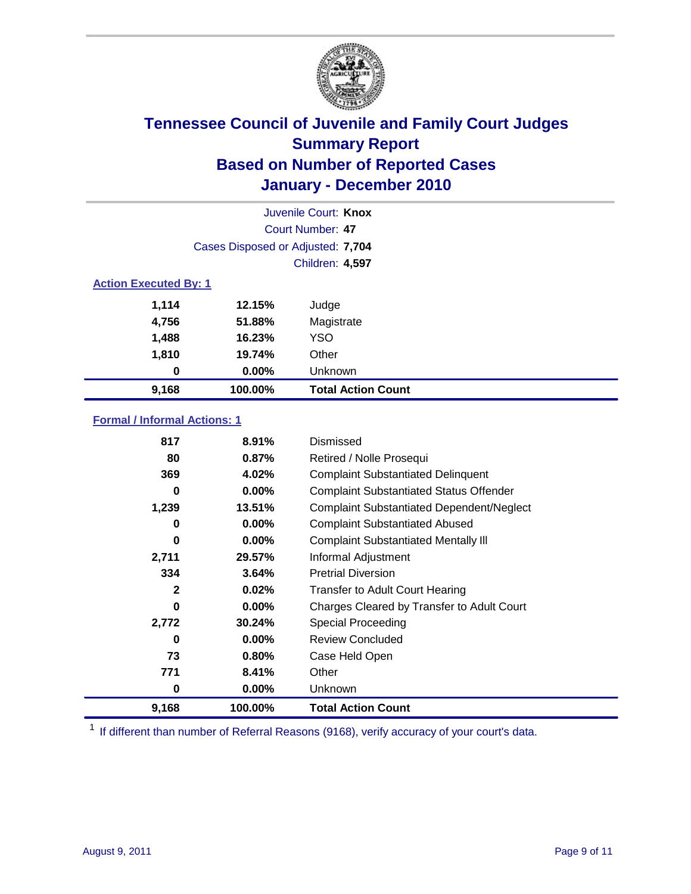

|                              | Juvenile Court: Knox              |                           |  |  |  |
|------------------------------|-----------------------------------|---------------------------|--|--|--|
|                              | Court Number: 47                  |                           |  |  |  |
|                              | Cases Disposed or Adjusted: 7,704 |                           |  |  |  |
|                              |                                   | Children: 4,597           |  |  |  |
| <b>Action Executed By: 1</b> |                                   |                           |  |  |  |
| 1,114                        | 12.15%                            | Judge                     |  |  |  |
| 4,756                        | 51.88%                            | Magistrate                |  |  |  |
| 1,488                        | 16.23%                            | <b>YSO</b>                |  |  |  |
| 1,810                        | 19.74%                            | Other                     |  |  |  |
| 0                            | $0.00\%$                          | Unknown                   |  |  |  |
| 9,168                        | 100.00%                           | <b>Total Action Count</b> |  |  |  |

### **Formal / Informal Actions: 1**

| 817          | 8.91%    | Dismissed                                        |
|--------------|----------|--------------------------------------------------|
| 80           | 0.87%    | Retired / Nolle Prosequi                         |
| 369          | 4.02%    | <b>Complaint Substantiated Delinquent</b>        |
| 0            | $0.00\%$ | <b>Complaint Substantiated Status Offender</b>   |
| 1,239        | 13.51%   | <b>Complaint Substantiated Dependent/Neglect</b> |
| 0            | $0.00\%$ | <b>Complaint Substantiated Abused</b>            |
| 0            | $0.00\%$ | <b>Complaint Substantiated Mentally III</b>      |
| 2,711        | 29.57%   | Informal Adjustment                              |
| 334          | 3.64%    | <b>Pretrial Diversion</b>                        |
| $\mathbf{2}$ | 0.02%    | <b>Transfer to Adult Court Hearing</b>           |
| 0            | $0.00\%$ | Charges Cleared by Transfer to Adult Court       |
| 2,772        | 30.24%   | Special Proceeding                               |
| 0            | $0.00\%$ | <b>Review Concluded</b>                          |
| 73           | 0.80%    | Case Held Open                                   |
| 771          | 8.41%    | Other                                            |
| 0            | $0.00\%$ | <b>Unknown</b>                                   |
| 9,168        | 100.00%  | <b>Total Action Count</b>                        |

<sup>1</sup> If different than number of Referral Reasons (9168), verify accuracy of your court's data.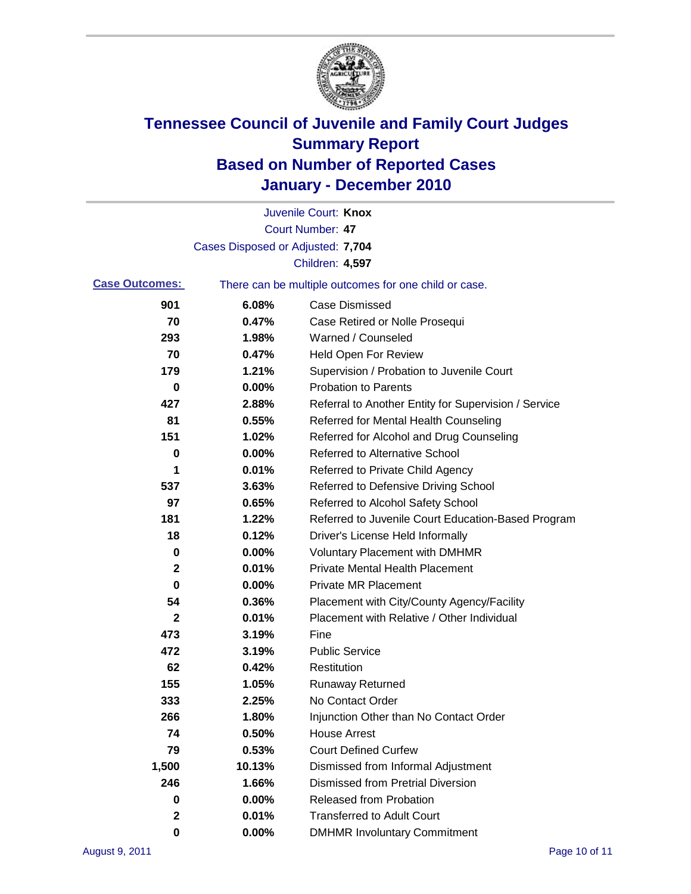

|                       |                                   | Juvenile Court: Knox                                  |
|-----------------------|-----------------------------------|-------------------------------------------------------|
|                       |                                   | <b>Court Number: 47</b>                               |
|                       | Cases Disposed or Adjusted: 7,704 |                                                       |
|                       |                                   | Children: 4,597                                       |
| <b>Case Outcomes:</b> |                                   | There can be multiple outcomes for one child or case. |
| 901                   | 6.08%                             | <b>Case Dismissed</b>                                 |
| 70                    | 0.47%                             | Case Retired or Nolle Prosequi                        |
| 293                   | 1.98%                             | Warned / Counseled                                    |
| 70                    | 0.47%                             | Held Open For Review                                  |
| 179                   | 1.21%                             | Supervision / Probation to Juvenile Court             |
| 0                     | 0.00%                             | <b>Probation to Parents</b>                           |
| 427                   | 2.88%                             | Referral to Another Entity for Supervision / Service  |
| 81                    | 0.55%                             | Referred for Mental Health Counseling                 |
| 151                   | 1.02%                             | Referred for Alcohol and Drug Counseling              |
| 0                     | 0.00%                             | <b>Referred to Alternative School</b>                 |
| 1                     | 0.01%                             | Referred to Private Child Agency                      |
| 537                   | 3.63%                             | Referred to Defensive Driving School                  |
| 97                    | 0.65%                             | Referred to Alcohol Safety School                     |
| 181                   | 1.22%                             | Referred to Juvenile Court Education-Based Program    |
| 18                    | 0.12%                             | Driver's License Held Informally                      |
| 0                     | 0.00%                             | <b>Voluntary Placement with DMHMR</b>                 |
| 2                     | 0.01%                             | <b>Private Mental Health Placement</b>                |
| 0                     | 0.00%                             | <b>Private MR Placement</b>                           |
| 54                    | 0.36%                             | Placement with City/County Agency/Facility            |
| 2                     | 0.01%                             | Placement with Relative / Other Individual            |
| 473                   | 3.19%                             | Fine                                                  |
| 472                   | 3.19%                             | <b>Public Service</b>                                 |
| 62                    | 0.42%                             | Restitution                                           |
| 155                   | 1.05%                             | <b>Runaway Returned</b>                               |
| 333                   | 2.25%                             | No Contact Order                                      |
| 266                   | 1.80%                             | Injunction Other than No Contact Order                |
| 74                    | 0.50%                             | <b>House Arrest</b>                                   |
| 79                    | 0.53%                             | <b>Court Defined Curfew</b>                           |
| 1,500                 | 10.13%                            | Dismissed from Informal Adjustment                    |
| 246                   | 1.66%                             | <b>Dismissed from Pretrial Diversion</b>              |
| 0                     | 0.00%                             | Released from Probation                               |
| 2                     | 0.01%                             | <b>Transferred to Adult Court</b>                     |
| 0                     | $0.00\%$                          | <b>DMHMR Involuntary Commitment</b>                   |